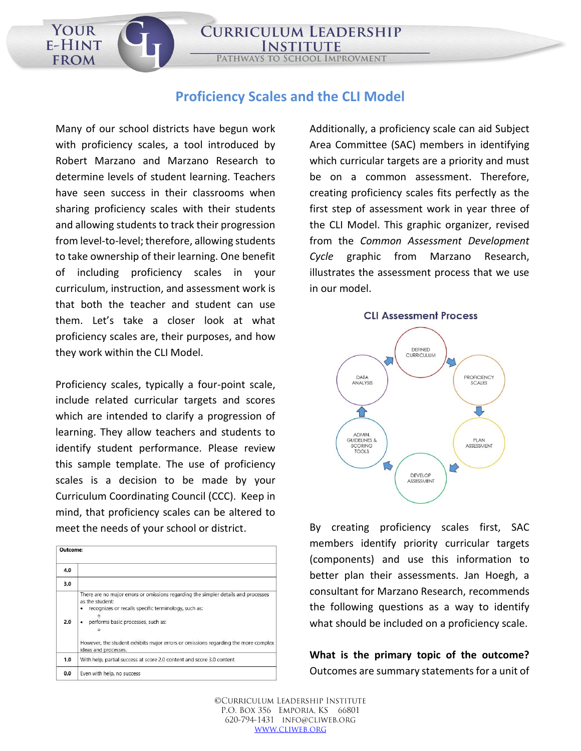## **Proficiency Scales and the CLI Model**

**PATHWAYS TO** 

**CURRICULUM LEADERSHIP** 

**SCHOOL IMPROVMENT** 

Many of our school districts have begun work with proficiency scales, a tool introduced by Robert Marzano and Marzano Research to determine levels of student learning. Teachers have seen success in their classrooms when sharing proficiency scales with their students and allowing students to track their progression from level-to-level; therefore, allowing students to take ownership of their learning. One benefit of including proficiency scales in your curriculum, instruction, and assessment work is that both the teacher and student can use them. Let's take a closer look at what proficiency scales are, their purposes, and how they work within the CLI Model.

YOUR E-HINT

**FROM** 

Proficiency scales, typically a four-point scale, include related curricular targets and scores which are intended to clarify a progression of learning. They allow teachers and students to identify student performance. Please review this sample template. The use of proficiency scales is a decision to be made by your Curriculum Coordinating Council (CCC). Keep in mind, that proficiency scales can be altered to meet the needs of your school or district.

| Outcome: |                                                                                                                                                                                                                                                                                                                   |
|----------|-------------------------------------------------------------------------------------------------------------------------------------------------------------------------------------------------------------------------------------------------------------------------------------------------------------------|
| 4.0      |                                                                                                                                                                                                                                                                                                                   |
| 3.0      |                                                                                                                                                                                                                                                                                                                   |
| 2.0      | There are no major errors or omissions regarding the simpler details and processes<br>as the student:<br>recognizes or recalls specific terminology, such as:<br>performs basic processes, such as:<br>However, the student exhibits major errors or omissions regarding the more complex<br>ideas and processes. |
| 1.0      | With help, partial success at score 2.0 content and score 3.0 content                                                                                                                                                                                                                                             |
| 0.0      | Even with help, no success                                                                                                                                                                                                                                                                                        |

Additionally, a proficiency scale can aid Subject Area Committee (SAC) members in identifying which curricular targets are a priority and must be on a common assessment. Therefore, creating proficiency scales fits perfectly as the first step of assessment work in year three of the CLI Model. This graphic organizer, revised from the *Common Assessment Development Cycle* graphic from Marzano Research, illustrates the assessment process that we use in our model.



By creating proficiency scales first, SAC members identify priority curricular targets (components) and use this information to better plan their assessments. Jan Hoegh, a consultant for Marzano Research, recommends the following questions as a way to identify what should be included on a proficiency scale.

**What is the primary topic of the outcome?** Outcomes are summary statements for a unit of

©CURRICULUM LEADERSHIP INSTITUTE P.O. BOX 356 EMPORIA, KS 66801 620-794-1431 INFO@CLIWEB.ORG WWW.CLIWEB.ORG